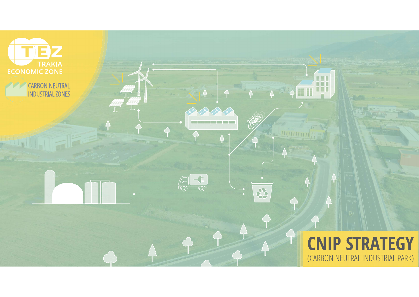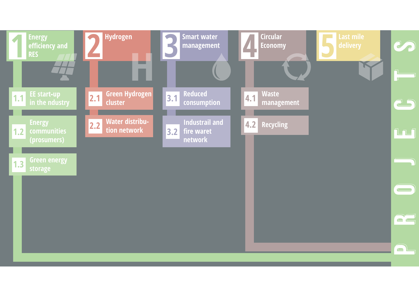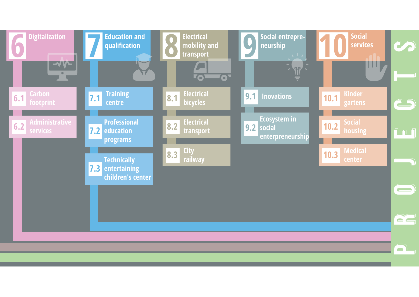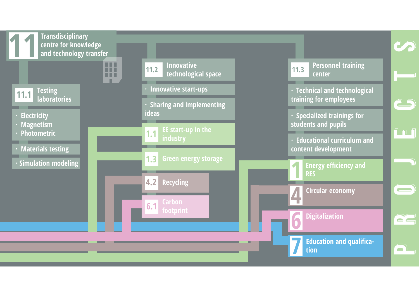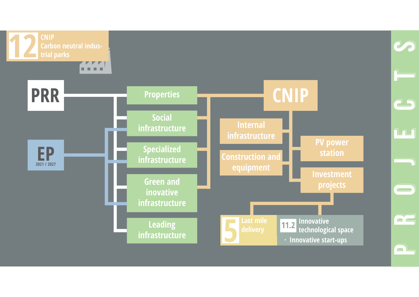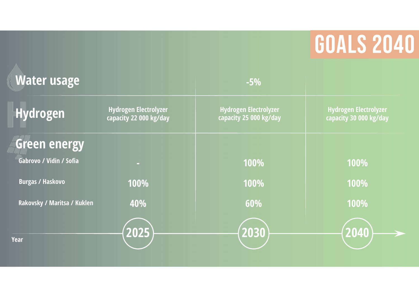## **GOALS 2040**

| <b>Water usage</b>          |                                                        | $-5%$                                                  |                                                        |
|-----------------------------|--------------------------------------------------------|--------------------------------------------------------|--------------------------------------------------------|
| <b>Hydrogen</b>             | <b>Hydrogen Electrolyzer</b><br>capacity 22 000 kg/day | <b>Hydrogen Electrolyzer</b><br>capacity 25 000 kg/day | <b>Hydrogen Electrolyzer</b><br>capacity 30 000 kg/day |
| Green energy                |                                                        |                                                        |                                                        |
| Gabrovo / Vidin / Sofia     | <b>COL</b>                                             | 100%                                                   | 100%                                                   |
| <b>Burgas / Haskovo</b>     | 100%                                                   | 100%                                                   | 100%                                                   |
| Rakovsky / Maritsa / Kuklen | 40%                                                    | 60%                                                    | 100%                                                   |
|                             | 2025                                                   | 2030                                                   | 2040                                                   |
| <b>Year</b>                 |                                                        |                                                        |                                                        |
|                             |                                                        |                                                        |                                                        |